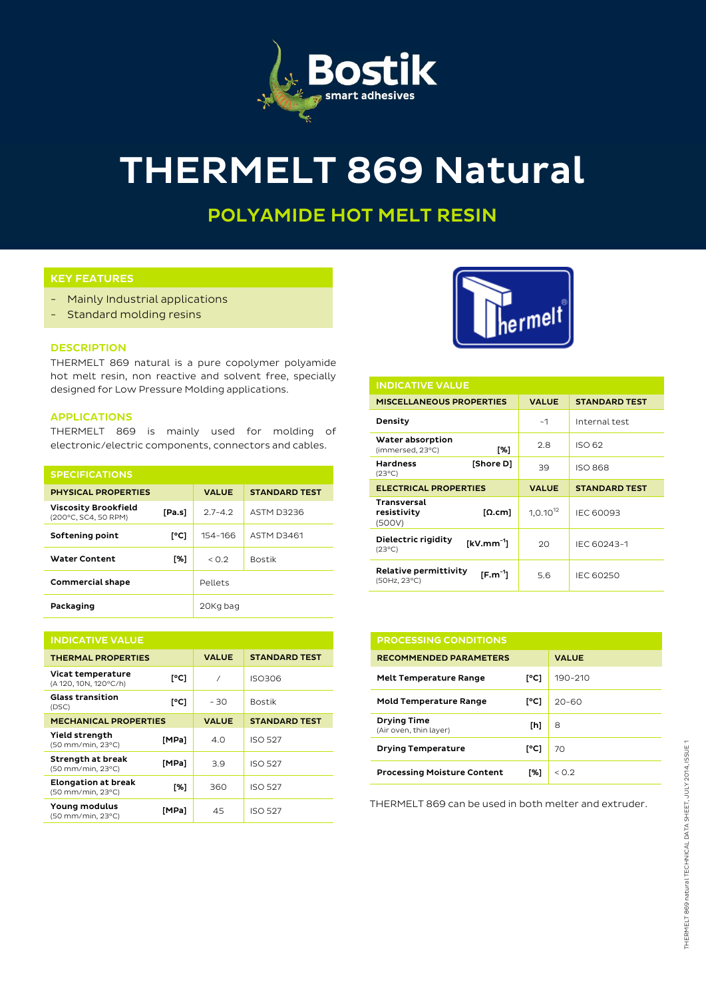

# THERMELT 869 Natural

## POLYAMIDE HOT MELT RESIN

## KEY FEATURES

- Mainly Industrial applications
- Standard molding resins

#### DESCRIPTION

THERMELT 869 natural is a pure copolymer polyamide hot melt resin, non reactive and solvent free, specially designed for Low Pressure Molding applications.

#### APPLICATIONS

THERMELT 869 is mainly used for molding of electronic/electric components, connectors and cables.

| <b>SPECIFICATIONS</b>                               |        |              |                      |  |  |  |
|-----------------------------------------------------|--------|--------------|----------------------|--|--|--|
| <b>PHYSICAL PROPERTIES</b>                          |        | <b>VALUE</b> | <b>STANDARD TEST</b> |  |  |  |
| <b>Viscosity Brookfield</b><br>(200°C, SC4, 50 RPM) | [Pa.s] | $27 - 42$    | ASTM D3236           |  |  |  |
| Softening point                                     | [°C]   | 154-166      | <b>ASTM D3461</b>    |  |  |  |
| <b>Water Content</b>                                | [%]    | < 0.2        | <b>Bostik</b>        |  |  |  |
| <b>Commercial shape</b>                             |        | Pellets      |                      |  |  |  |
| Packaging                                           |        | 20Kg bag     |                      |  |  |  |

| <b>INDICATIVE VALUE</b>                         |                |              |                      |  |  |
|-------------------------------------------------|----------------|--------------|----------------------|--|--|
| <b>THERMAL PROPERTIES</b>                       |                | <b>VALUE</b> | <b>STANDARD TEST</b> |  |  |
| Vicat temperature<br>(A 120, 10N, 120°C/h)      | [°C]           | 1            | ISO306               |  |  |
| <b>Glass transition</b><br>(DSC)                | $I^{\circ}$ C1 | $-30$        | <b>Bostik</b>        |  |  |
| <b>MECHANICAL PROPERTIES</b>                    |                | <b>VALUE</b> | <b>STANDARD TEST</b> |  |  |
| Yield strength<br>(50 mm/min, 23°C)             | [MPa]          | 4.0          | <b>ISO 527</b>       |  |  |
| Strength at break<br>(50 mm/min, 23°C)          | [MPa]          | 3.9          | <b>ISO 527</b>       |  |  |
| <b>Elongation at break</b><br>(50 mm/min, 23°C) | [%]            | 360          | <b>ISO 527</b>       |  |  |
| Young modulus<br>(50 mm/min, 23°C)              | [MPa]          | 45           | <b>ISO 527</b>       |  |  |



| <b>INDICATIVE VALUE</b>                                           |               |                      |  |  |
|-------------------------------------------------------------------|---------------|----------------------|--|--|
| <b>MISCELLANEOUS PROPERTIES</b>                                   | <b>VALUE</b>  | <b>STANDARD TEST</b> |  |  |
| Density                                                           | ~1            | Internal test        |  |  |
| Water absorption<br>[%]<br>(immersed, 23°C)                       | 2.8           | ISO 62               |  |  |
| <b>Hardness</b><br>[Shore D]<br>$(23^{\circ}C)$                   | 39            | <b>ISO 868</b>       |  |  |
|                                                                   |               | <b>STANDARD TEST</b> |  |  |
| <b>ELECTRICAL PROPERTIES</b>                                      | <b>VALUE</b>  |                      |  |  |
| Transversal<br>resistivity<br>$\lceil \Omega.cm \rceil$<br>(500V) | $1.0.10^{12}$ | <b>IEC 60093</b>     |  |  |
| Dielectric rigidity<br>$[kV/mm^{-1}]$<br>$(23^{\circ}C)$          | 20            | IEC 60243-1          |  |  |

| <b>PROCESSING CONDITIONS</b>                 |      |              |  |  |
|----------------------------------------------|------|--------------|--|--|
| <b>RECOMMENDED PARAMETERS</b>                |      | <b>VALUE</b> |  |  |
| <b>Melt Temperature Range</b>                | [°C] | 190-210      |  |  |
| <b>Mold Temperature Range</b>                | [°C] | $20 - 60$    |  |  |
| <b>Drying Time</b><br>(Air oven, thin laver) | [h]  | 8            |  |  |
| <b>Drying Temperature</b>                    | [°C] | 70           |  |  |
| <b>Processing Moisture Content</b>           | ٢%1  | < 0.2        |  |  |

THERMELT 869 can be used in both melter and extruder.